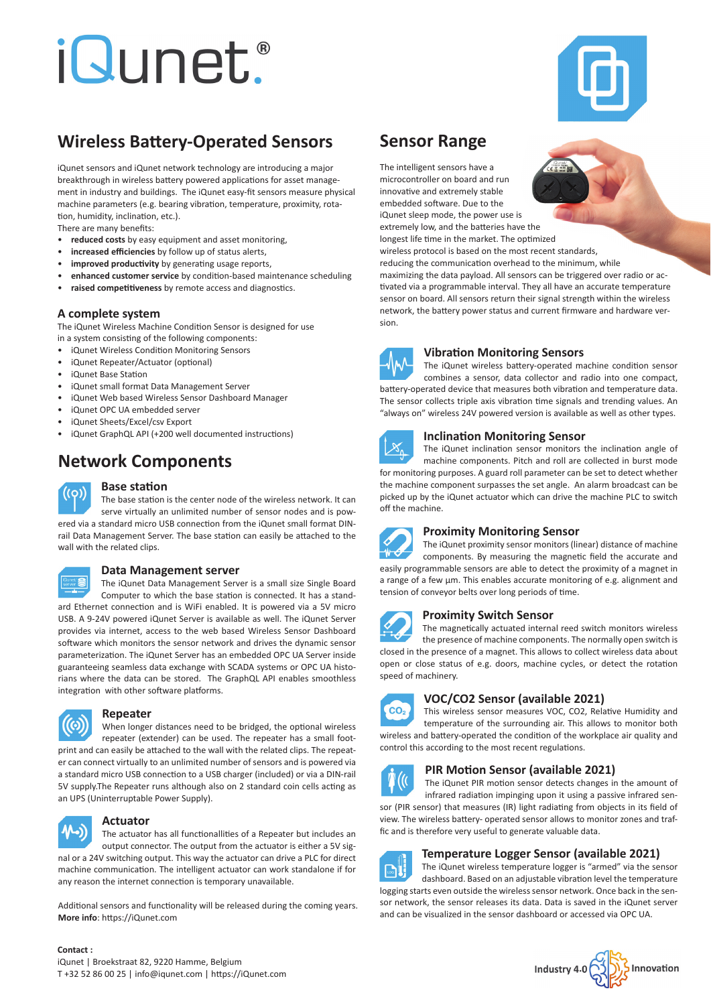# *iQunet.*



# **Wireless Battery-Operated Sensors**

iQunet sensors and iQunet network technology are introducing a major breakthrough in wireless battery powered applications for asset management in industry and buildings. The iQunet easy-fit sensors measure physical machine parameters (e.g. bearing vibration, temperature, proximity, rotation, humidity, inclination, etc.).

There are many benefits:

- **reduced costs** by easy equipment and asset monitoring,
- **increased efficiencies** by follow up of status alerts,
- **improved productivity** by generating usage reports,
- **enhanced customer service** by condition-based maintenance scheduling
- **raised competitiveness** by remote access and diagnostics.

#### **A complete system**

The iQunet Wireless Machine Condition Sensor is designed for use in a system consisting of the following components:

- 
- iQunet Wireless Condition Monitoring Sensors • iQunet Repeater/Actuator (optional)
- iQunet Base Station
- iQunet small format Data Management Server
- iQunet Web based Wireless Sensor Dashboard Manager
- iQunet OPC UA embedded server
- iQunet Sheets/Excel/csv Export
- iQunet GraphQL API (+200 well documented instructions)

# **Network Components**



# **Base station**

The base station is the center node of the wireless network. It can serve virtually an unlimited number of sensor nodes and is powered via a standard micro USB connection from the iQunet small format DINrail Data Management Server. The base station can easily be attached to the wall with the related clips.



### **Data Management server**

The iQunet Data Management Server is a small size Single Board Computer to which the base station is connected. It has a standard Ethernet connection and is WiFi enabled. It is powered via a 5V micro USB. A 9-24V powered iQunet Server is available as well. The iQunet Server provides via internet, access to the web based Wireless Sensor Dashboard software which monitors the sensor network and drives the dynamic sensor parameterization. The iQunet Server has an embedded OPC UA Server inside guaranteeing seamless data exchange with SCADA systems or OPC UA historians where the data can be stored. The GraphQL API enables smoothless integration with other software platforms.



# **Repeater**

When longer distances need to be bridged, the optional wireless repeater (extender) can be used. The repeater has a small footprint and can easily be attached to the wall with the related clips. The repeater can connect virtually to an unlimited number of sensors and is powered via a standard micro USB connection to a USB charger (included) or via a DIN-rail 5V supply.The Repeater runs although also on 2 standard coin cells acting as an UPS (Uninterruptable Power Supply).



#### **Actuator**

The actuator has all functionallities of a Repeater but includes an output connector. The output from the actuator is either a 5V signal or a 24V switching output. This way the actuator can drive a PLC for direct machine communication. The intelligent actuator can work standalone if for any reason the internet connection is temporary unavailable.

Additional sensors and functionality will be released during the coming years. **More info**: https://iQunet.com

# **Sensor Range**

The intelligent sensors have a microcontroller on board and run innovative and extremely stable embedded software. Due to the iQunet sleep mode, the power use is extremely low, and the batteries have the longest life time in the market. The optimized

wireless protocol is based on the most recent standards, reducing the communication overhead to the minimum, while maximizing the data payload. All sensors can be triggered over radio or activated via a programmable interval. They all have an accurate temperature

sensor on board. All sensors return their signal strength within the wireless network, the battery power status and current firmware and hardware version.



#### **Vibration Monitoring Sensors**

The iQunet wireless battery-operated machine condition sensor combines a sensor, data collector and radio into one compact, battery-operated device that measures both vibration and temperature data. The sensor collects triple axis vibration time signals and trending values. An "always on" wireless 24V powered version is available as well as other types.



#### **Inclination Monitoring Sensor**

The iQunet inclination sensor monitors the inclination angle of machine components. Pitch and roll are collected in burst mode for monitoring purposes. A guard roll parameter can be set to detect whether the machine component surpasses the set angle. An alarm broadcast can be picked up by the iQunet actuator which can drive the machine PLC to switch



off the machine.

#### **Proximity Monitoring Sensor**

The iQunet proximity sensor monitors (linear) distance of machine components. By measuring the magnetic field the accurate and easily programmable sensors are able to detect the proximity of a magnet in a range of a few µm. This enables accurate monitoring of e.g. alignment and tension of conveyor belts over long periods of time.



# **Proximity Switch Sensor**

The magnetically actuated internal reed switch monitors wireless the presence of machine components. The normally open switch is closed in the presence of a magnet. This allows to collect wireless data about open or close status of e.g. doors, machine cycles, or detect the rotation speed of machinery.



## **VOC/CO2 Sensor (available 2021)**

This wireless sensor measures VOC, CO2, Relative Humidity and temperature of the surrounding air. This allows to monitor both wireless and battery-operated the condition of the workplace air quality and control this according to the most recent regulations.



# **PIR Motion Sensor (available 2021)**

fic and is therefore very useful to generate valuable data.

The iQunet PIR motion sensor detects changes in the amount of infrared radiation impinging upon it using a passive infrared sensor (PIR sensor) that measures (IR) light radiating from objects in its field of view. The wireless battery- operated sensor allows to monitor zones and traf-

**Temperature Logger Sensor (available 2021)**

The iQunet wireless temperature logger is "armed" via the sensor  $\lceil \cdot \cdot \rceil$ dashboard. Based on an adjustable vibration level the temperature logging starts even outside the wireless sensor network. Once back in the sensor network, the sensor releases its data. Data is saved in the iQunet server and can be visualized in the sensor dashboard or accessed via OPC UA.